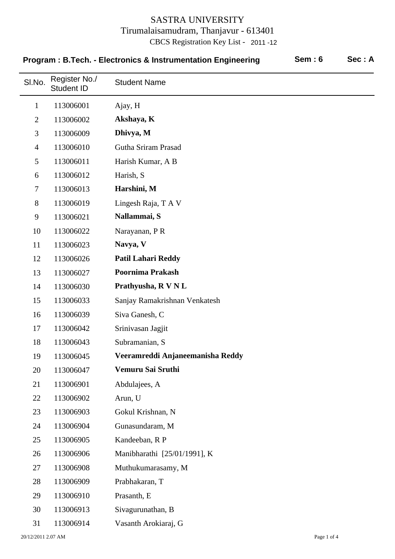| Sem: 6<br>Program: B.Tech. - Electronics & Instrumentation Engineering |                                    | Sec: A                           |  |  |
|------------------------------------------------------------------------|------------------------------------|----------------------------------|--|--|
| SI.No.                                                                 | Register No./<br><b>Student ID</b> | <b>Student Name</b>              |  |  |
| $\mathbf{1}$                                                           | 113006001                          | Ajay, H                          |  |  |
| $\overline{2}$                                                         | 113006002                          | Akshaya, K                       |  |  |
| 3                                                                      | 113006009                          | Dhivya, M                        |  |  |
| $\overline{4}$                                                         | 113006010                          | Gutha Sriram Prasad              |  |  |
| 5                                                                      | 113006011                          | Harish Kumar, A B                |  |  |
| 6                                                                      | 113006012                          | Harish, S                        |  |  |
| 7                                                                      | 113006013                          | Harshini, M                      |  |  |
| 8                                                                      | 113006019                          | Lingesh Raja, T A V              |  |  |
| 9                                                                      | 113006021                          | Nallammai, S                     |  |  |
| 10                                                                     | 113006022                          | Narayanan, P R                   |  |  |
| 11                                                                     | 113006023                          | Navya, V                         |  |  |
| 12                                                                     | 113006026                          | <b>Patil Lahari Reddy</b>        |  |  |
| 13                                                                     | 113006027                          | <b>Poornima Prakash</b>          |  |  |
| 14                                                                     | 113006030                          | Prathyusha, R V N L              |  |  |
| 15                                                                     | 113006033                          | Sanjay Ramakrishnan Venkatesh    |  |  |
| 16                                                                     | 113006039                          | Siva Ganesh, C                   |  |  |
| 17                                                                     | 113006042                          | Srinivasan Jagjit                |  |  |
| 18                                                                     | 113006043                          | Subramanian, S                   |  |  |
| 19                                                                     | 113006045                          | Veeramreddi Anjaneemanisha Reddy |  |  |
| 20                                                                     | 113006047                          | Vemuru Sai Sruthi                |  |  |
| 21                                                                     | 113006901                          | Abdulajees, A                    |  |  |
| 22                                                                     | 113006902                          | Arun, U                          |  |  |
| 23                                                                     | 113006903                          | Gokul Krishnan, N                |  |  |
| 24                                                                     | 113006904                          | Gunasundaram, M                  |  |  |
| 25                                                                     | 113006905                          | Kandeeban, R P                   |  |  |
| 26                                                                     | 113006906                          | Manibharathi [25/01/1991], K     |  |  |
| 27                                                                     | 113006908                          | Muthukumarasamy, M               |  |  |
| 28                                                                     | 113006909                          | Prabhakaran, T                   |  |  |
| 29                                                                     | 113006910                          | Prasanth, E                      |  |  |
| 30                                                                     | 113006913                          | Sivagurunathan, B                |  |  |
| 31                                                                     | 113006914                          | Vasanth Arokiaraj, G             |  |  |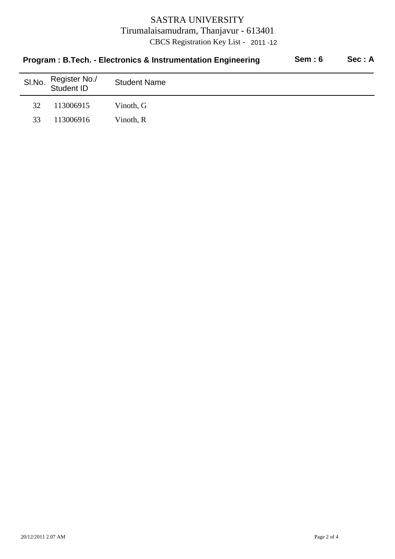|        | Program: B.Tech. - Electronics & Instrumentation Engineering | Sem: 6              | Sec: A |  |
|--------|--------------------------------------------------------------|---------------------|--------|--|
| SI.No. | Register No./<br>Student ID                                  | <b>Student Name</b> |        |  |
| 32     | 113006915                                                    | Vinoth, G           |        |  |
| 33     | 113006916                                                    | Vinoth, R           |        |  |
|        |                                                              |                     |        |  |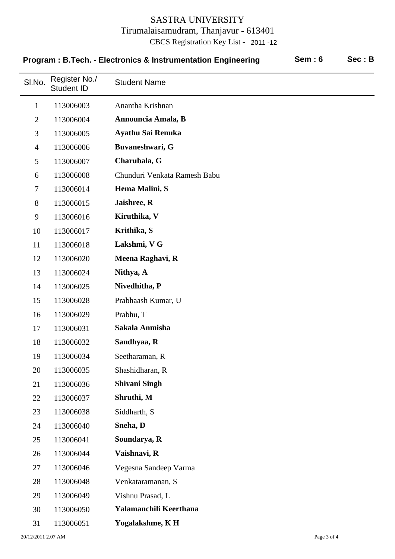| Sem:6<br>Program: B.Tech. - Electronics & Instrumentation Engineering |                                    |                              | Sec: B |  |
|-----------------------------------------------------------------------|------------------------------------|------------------------------|--------|--|
| SI.No.                                                                | Register No./<br><b>Student ID</b> | <b>Student Name</b>          |        |  |
| $\mathbf{1}$                                                          | 113006003                          | Anantha Krishnan             |        |  |
| $\overline{2}$                                                        | 113006004                          | Announcia Amala, B           |        |  |
| 3                                                                     | 113006005                          | Ayathu Sai Renuka            |        |  |
| $\overline{4}$                                                        | 113006006                          | Buvaneshwari, G              |        |  |
| 5                                                                     | 113006007                          | Charubala, G                 |        |  |
| 6                                                                     | 113006008                          | Chunduri Venkata Ramesh Babu |        |  |
| $\tau$                                                                | 113006014                          | Hema Malini, S               |        |  |
| 8                                                                     | 113006015                          | Jaishree, R                  |        |  |
| 9                                                                     | 113006016                          | Kiruthika, V                 |        |  |
| 10                                                                    | 113006017                          | Krithika, S                  |        |  |
| 11                                                                    | 113006018                          | Lakshmi, V G                 |        |  |
| 12                                                                    | 113006020                          | Meena Raghavi, R             |        |  |
| 13                                                                    | 113006024                          | Nithya, A                    |        |  |
| 14                                                                    | 113006025                          | Nivedhitha, P                |        |  |
| 15                                                                    | 113006028                          | Prabhaash Kumar, U           |        |  |
| 16                                                                    | 113006029                          | Prabhu, T                    |        |  |
| 17                                                                    | 113006031                          | Sakala Anmisha               |        |  |
| 18                                                                    | 113006032                          | Sandhyaa, R                  |        |  |
| 19                                                                    | 113006034                          | Seetharaman, R               |        |  |
| 20                                                                    | 113006035                          | Shashidharan, R              |        |  |
| 21                                                                    | 113006036                          | <b>Shivani Singh</b>         |        |  |
| 22                                                                    | 113006037                          | Shruthi, M                   |        |  |
| 23                                                                    | 113006038                          | Siddharth, S                 |        |  |
| 24                                                                    | 113006040                          | Sneha, D                     |        |  |
| 25                                                                    | 113006041                          | Soundarya, R                 |        |  |
| 26                                                                    | 113006044                          | Vaishnavi, R                 |        |  |
| 27                                                                    | 113006046                          | Vegesna Sandeep Varma        |        |  |
| 28                                                                    | 113006048                          | Venkataramanan, S            |        |  |
| 29                                                                    | 113006049                          | Vishnu Prasad, L             |        |  |
| 30                                                                    | 113006050                          | Yalamanchili Keerthana       |        |  |
| 31                                                                    | 113006051                          | Yogalakshme, KH              |        |  |